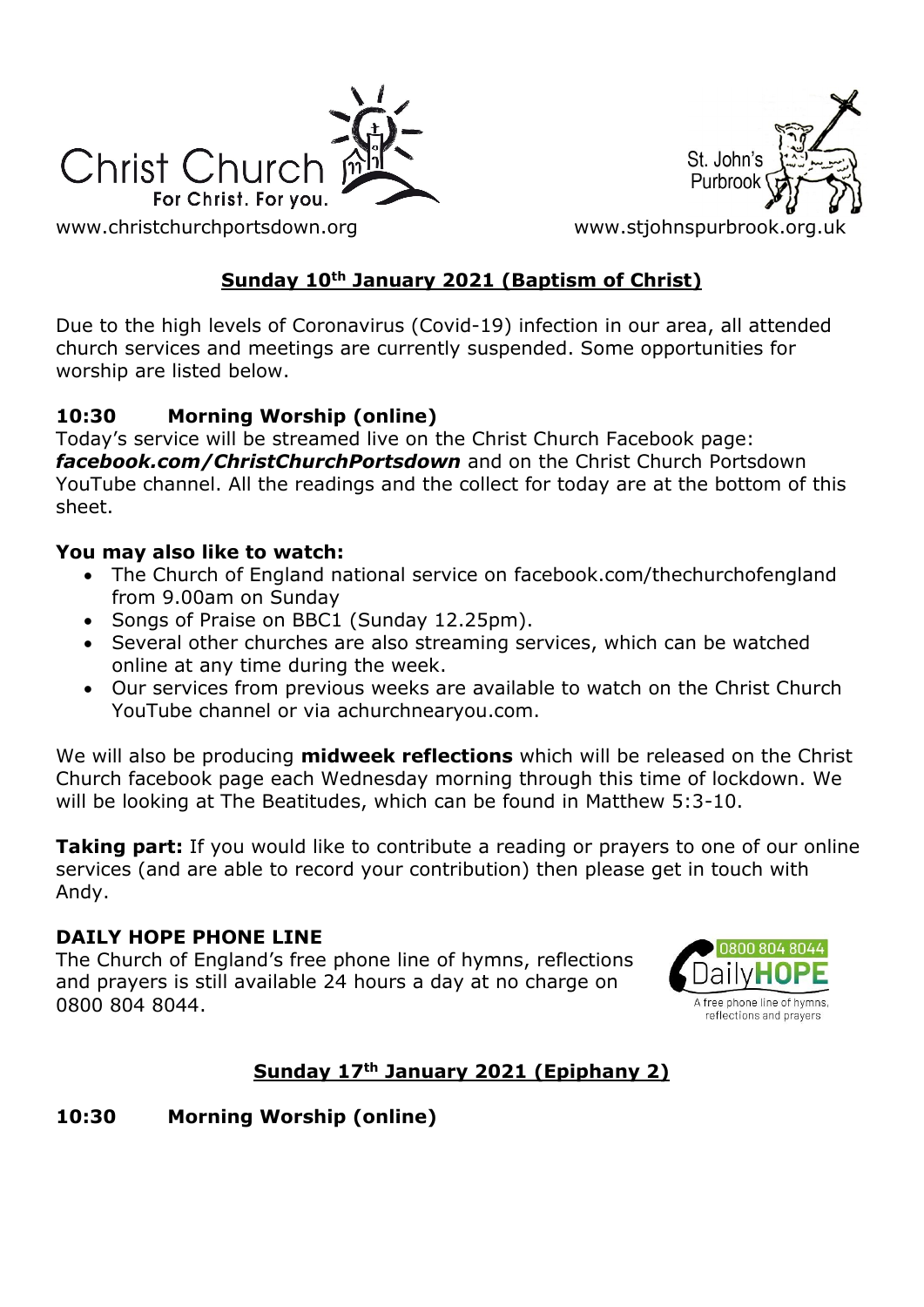

St. John's Purbroo

[www.christchurchportsdown.org](http://www.christchurchportsdown.org/) www.stjohnspurbrook.org

### **Sunday 10th January 2021 (Baptism of Christ)**

Due to the high levels of Coronavirus (Covid-19) infection in our area, all attended church services and meetings are currently suspended. Some opportunities for worship are listed below.

#### **10:30 Morning Worship (online)**

Today's service will be streamed live on the Christ Church Facebook page: *[facebook.com/ChristChurchPortsdown](http://www.facebook.com/ChristChurchPortsdown%20at%2010.30)* and on the Christ Church Portsdown YouTube channel. All the readings and the collect for today are at the bottom of this sheet.

#### **You may also like to watch:**

- The Church of England national service on facebook.com/thechurchofengland from 9.00am on Sunday
- Songs of Praise on BBC1 (Sunday 12.25pm).
- Several other churches are also streaming services, which can be watched online at any time during the week.
- Our services from previous weeks are available to watch on the Christ Church YouTube channel or via achurchnearyou.com.

We will also be producing **midweek reflections** which will be released on the Christ Church facebook page each Wednesday morning through this time of lockdown. We will be looking at The Beatitudes, which can be found in Matthew 5:3-10.

**Taking part:** If you would like to contribute a reading or prayers to one of our online services (and are able to record your contribution) then please get in touch with Andy.

#### **DAILY HOPE PHONE LINE**

The Church of England's free phone line of hymns, reflections and prayers is still available 24 hours a day at no charge on 0800 804 8044.



### **Sunday 17th January 2021 (Epiphany 2)**

#### **10:30 Morning Worship (online)**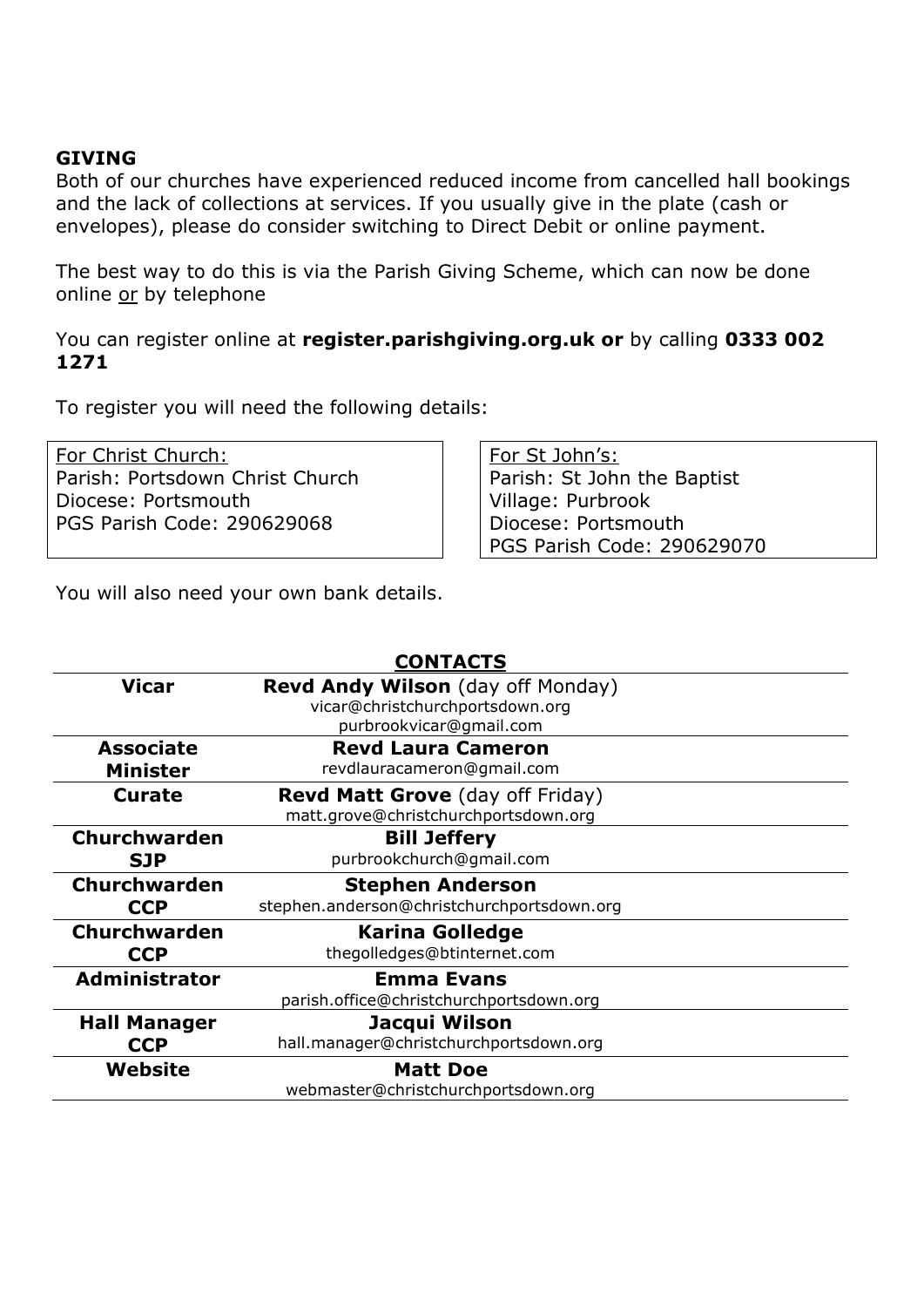#### **GIVING**

Both of our churches have experienced reduced income from cancelled hall bookings and the lack of collections at services. If you usually give in the plate (cash or envelopes), please do consider switching to Direct Debit or online payment.

The best way to do this is via the Parish Giving Scheme, which can now be done online or by telephone

You can register online at **register.parishgiving.org.uk or** by calling **0333 002 1271**

To register you will need the following details:

For Christ Church: Parish: Portsdown Christ Church Diocese: Portsmouth PGS Parish Code: 290629068

For St John's: Parish: St John the Baptist Village: Purbrook Diocese: Portsmouth PGS Parish Code: 290629070

You will also need your own bank details.

|                      | <b>CONTACTS</b>                            |
|----------------------|--------------------------------------------|
| <b>Vicar</b>         | <b>Revd Andy Wilson</b> (day off Monday)   |
|                      | vicar@christchurchportsdown.org            |
|                      | purbrookvicar@gmail.com                    |
| <b>Associate</b>     | <b>Revd Laura Cameron</b>                  |
| <b>Minister</b>      | revdlauracameron@gmail.com                 |
| <b>Curate</b>        | <b>Revd Matt Grove</b> (day off Friday)    |
|                      | matt.grove@christchurchportsdown.org       |
| <b>Churchwarden</b>  | <b>Bill Jeffery</b>                        |
| <b>SJP</b>           | purbrookchurch@gmail.com                   |
|                      |                                            |
| Churchwarden         | <b>Stephen Anderson</b>                    |
| <b>CCP</b>           | stephen.anderson@christchurchportsdown.org |
| <b>Churchwarden</b>  | <b>Karina Golledge</b>                     |
| <b>CCP</b>           | thegolledges@btinternet.com                |
| <b>Administrator</b> | <b>Emma Evans</b>                          |
|                      | parish.office@christchurchportsdown.org    |
| <b>Hall Manager</b>  | Jacqui Wilson                              |
| <b>CCP</b>           | hall.manager@christchurchportsdown.org     |
| Website              | <b>Matt Doe</b>                            |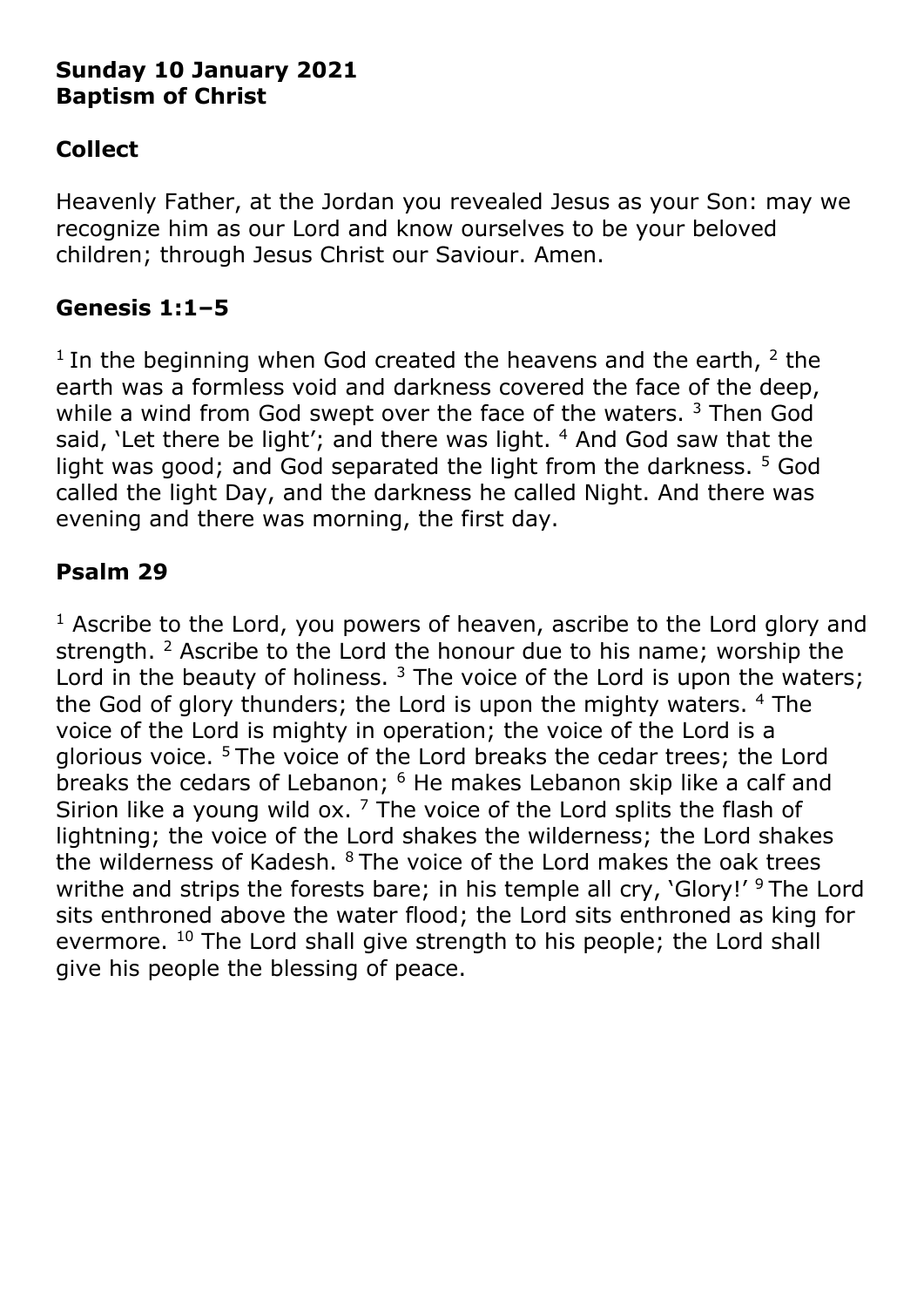### **Sunday 10 January 2021 Baptism of Christ**

# **Collect**

Heavenly Father, at the Jordan you revealed Jesus as your Son: may we recognize him as our Lord and know ourselves to be your beloved children; through Jesus Christ our Saviour. Amen.

## **Genesis 1:1–5**

<sup>1</sup> In the beginning when God created the heavens and the earth,  $2$  the earth was a formless void and darkness covered the face of the deep, while a wind from God swept over the face of the waters.<sup>3</sup> Then God said, 'Let there be light'; and there was light. <sup>4</sup> And God saw that the light was good; and God separated the light from the darkness. <sup>5</sup> God called the light Day, and the darkness he called Night. And there was evening and there was morning, the first day.

## **Psalm 29**

 $1$  Ascribe to the Lord, you powers of heaven, ascribe to the Lord glory and strength. <sup>2</sup> Ascribe to the Lord the honour due to his name; worship the Lord in the beauty of holiness.  $3$  The voice of the Lord is upon the waters; the God of glory thunders; the Lord is upon the mighty waters. <sup>4</sup> The voice of the Lord is mighty in operation; the voice of the Lord is a glorious voice. <sup>5</sup>The voice of the Lord breaks the cedar trees; the Lord breaks the cedars of Lebanon; <sup>6</sup> He makes Lebanon skip like a calf and Sirion like a young wild ox.  $7$  The voice of the Lord splits the flash of lightning; the voice of the Lord shakes the wilderness; the Lord shakes the wilderness of Kadesh. <sup>8</sup> The voice of the Lord makes the oak trees writhe and strips the forests bare; in his temple all cry, 'Glory!' <sup>9</sup> The Lord sits enthroned above the water flood; the Lord sits enthroned as king for evermore. <sup>10</sup> The Lord shall give strength to his people; the Lord shall give his people the blessing of peace.